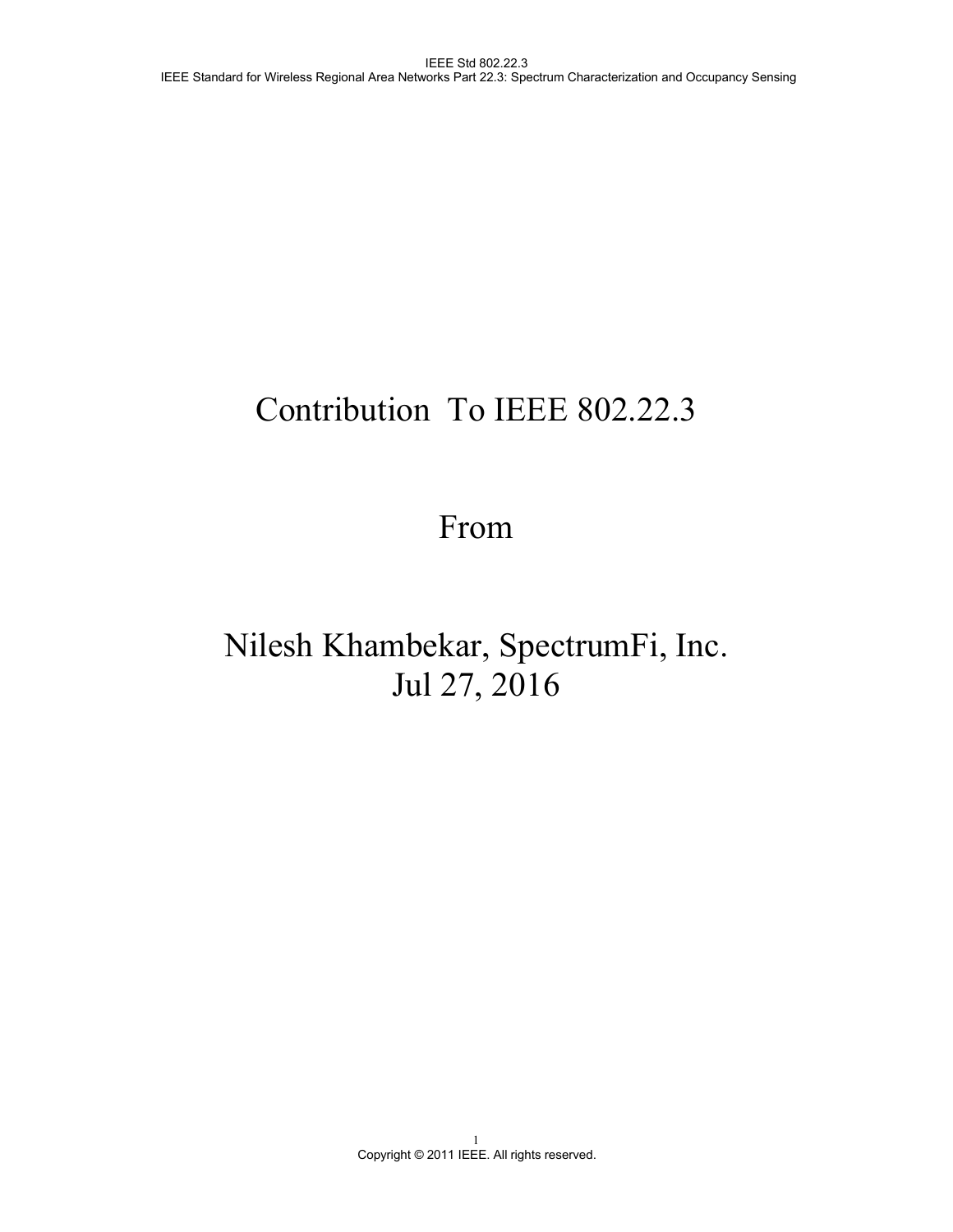# Contribution To IEEE 802.22.3

# From

# Nilesh Khambekar, SpectrumFi, Inc. Jul 27, 2016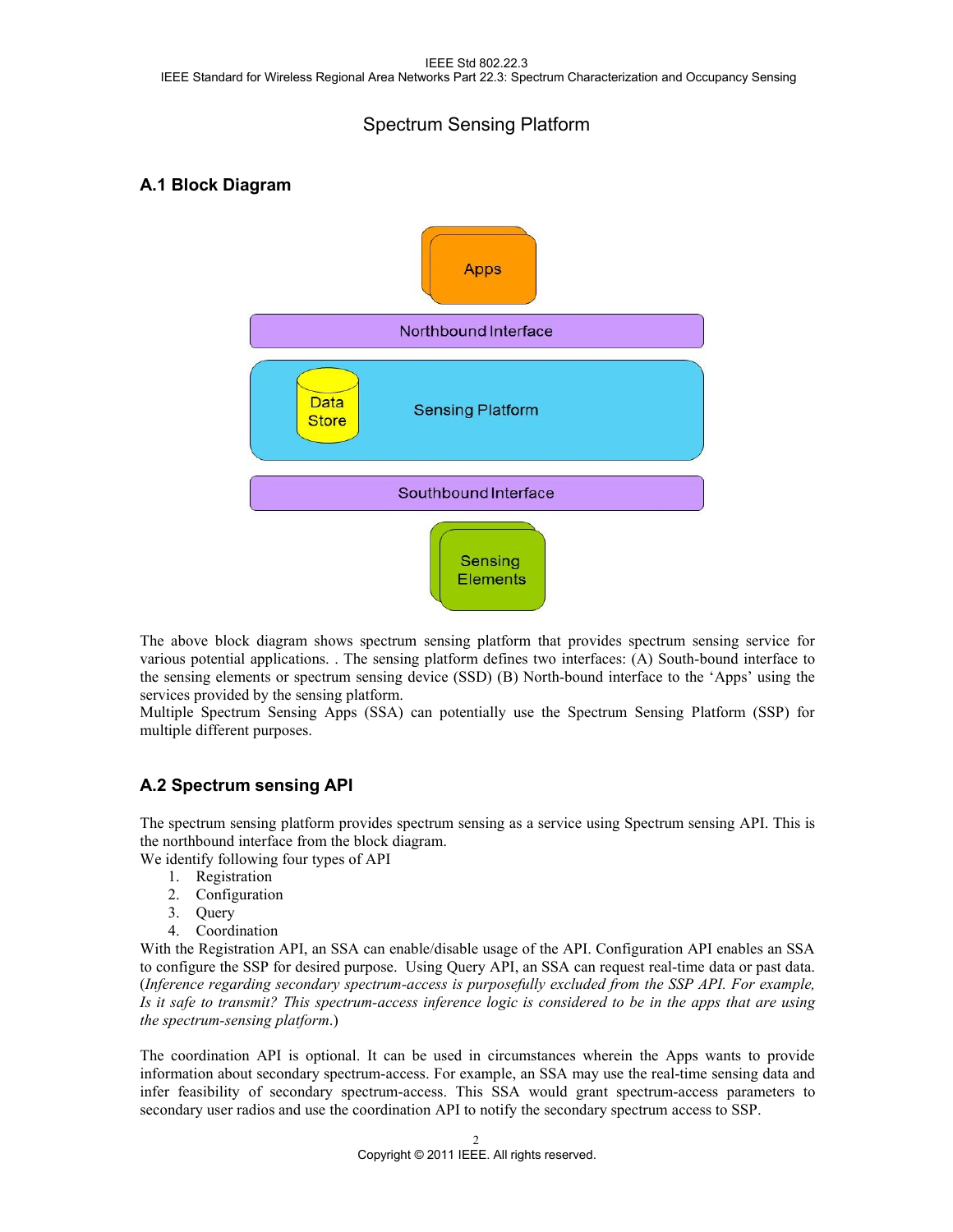### Spectrum Sensing Platform

### **A.1 Block Diagram**



The above block diagram shows spectrum sensing platform that provides spectrum sensing service for various potential applications. . The sensing platform defines two interfaces: (A) South-bound interface to the sensing elements or spectrum sensing device(SSD) (B) North-bound interface to the 'Apps' using the services provided by the sensing platform.

Multiple Spectrum Sensing Apps (SSA) can potentially use the Spectrum Sensing Platform (SSP) for multiple different purposes.

### **A.2 Spectrum sensing API**

The spectrum sensing platform provides spectrum sensing as a service using Spectrum sensing API. This is the northbound interface from the block diagram.

We identify following four types of API

- 1. Registration
- 2. Configuration
- 3. Query
- 4. Coordination

With the Registration API, an SSA can enable/disable usage of the API. Configuration API enables an SSA to configure the SSP for desired purpose. Using Query API, an SSA can request real-time data or past data. (*Inference regarding secondary spectrum-access is purposefully excluded from the SSP API. For example,* Is it safe to transmit? This spectrum-access inference logic is considered to be in the apps that are using *the spectrum-sensing platform*.)

The coordination API is optional. It can be used in circumstances wherein the Apps wants to provide information about secondary spectrum-access. For example, an SSA may use the real-time sensing data and infer feasibility of secondary spectrum-access. This SSA would grant spectrum-access parameters to secondary user radios and use the coordination API to notify the secondary spectrum access to SSP.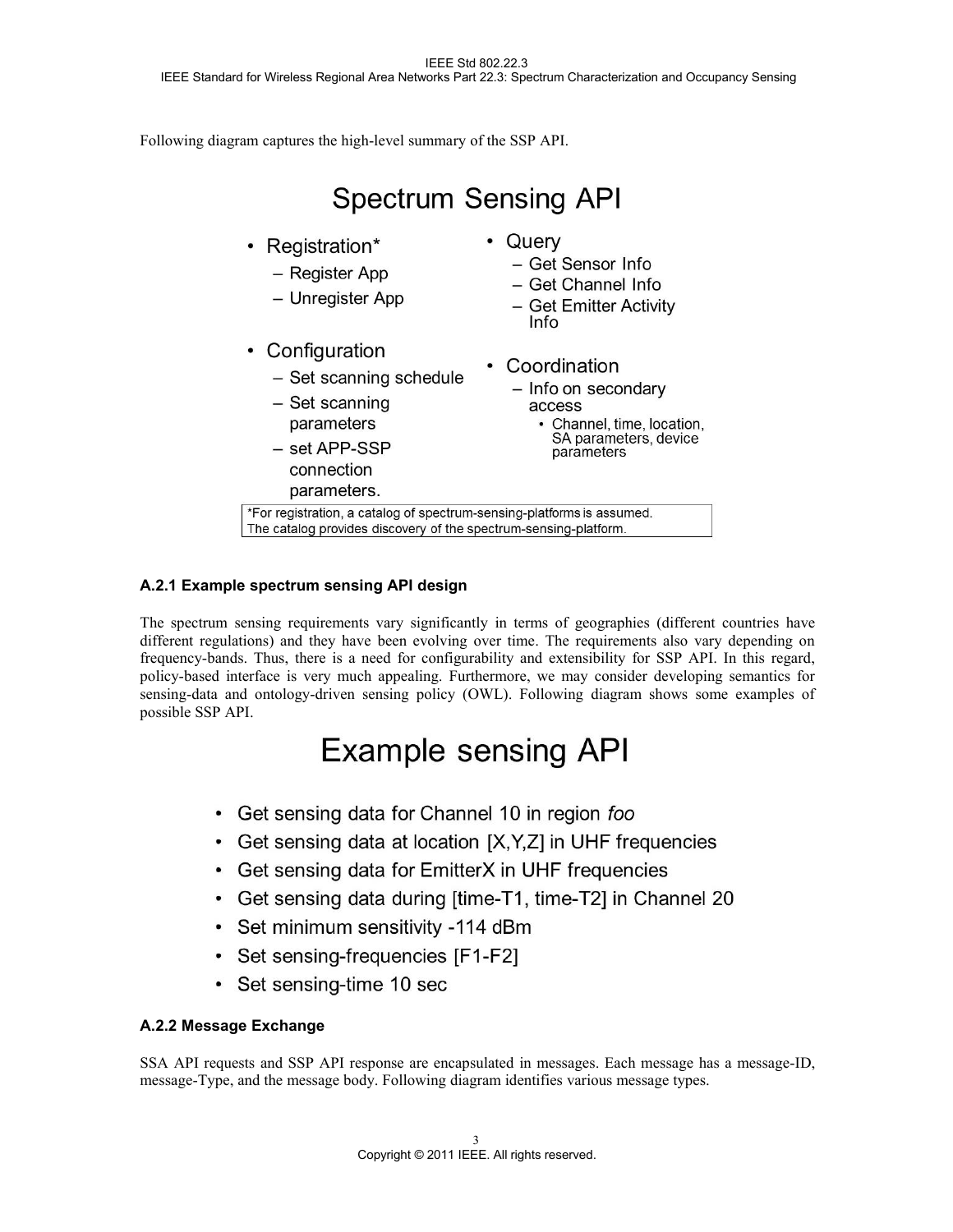Following diagram captures the high-level summary of the SSP API.

#### **Spectrum Sensing API** • Querv • Registration\* - Get Sensor Info - Register App - Get Channel Info - Unregister App - Get Emitter Activity Info • Configuration • Coordination - Set scanning schedule - Info on secondary - Set scanning access parameters • Channel, time, location, SA parameters, device  $-$  set APP-SSP parameters connection parameters. \*For registration, a catalog of spectrum-sensing-platforms is assumed. The catalog provides discovery of the spectrum-sensing-platform.

### **A.2.1 Example spectrum sensing API design**

The spectrum sensing requirements vary significantly in terms of geographies (different countries have different regulations) and they have been evolving over time. The requirements also vary depending on frequency-bands. Thus, there is a need for configurability and extensibility for SSP API. In this regard, policy-based interface is very much appealing. Furthermore, we may consider developing semantics for sensing-data and ontology-driven sensing policy (OWL). Following diagram shows some examples of possible SSP API.

## **Example sensing API**

- Get sensing data for Channel 10 in region foo
- Get sensing data at location [X, Y, Z] in UHF frequencies
- Get sensing data for EmitterX in UHF frequencies
- Get sensing data during [time-T1, time-T2] in Channel 20
- Set minimum sensitivity -114 dBm
- Set sensing-frequencies [F1-F2]
- Set sensing-time 10 sec

### **A.2.2 Message Exchange**

SSA API requests and SSP API response are encapsulated in messages. Each message has a message-ID, message-Type, and the message body. Following diagram identifies various message types.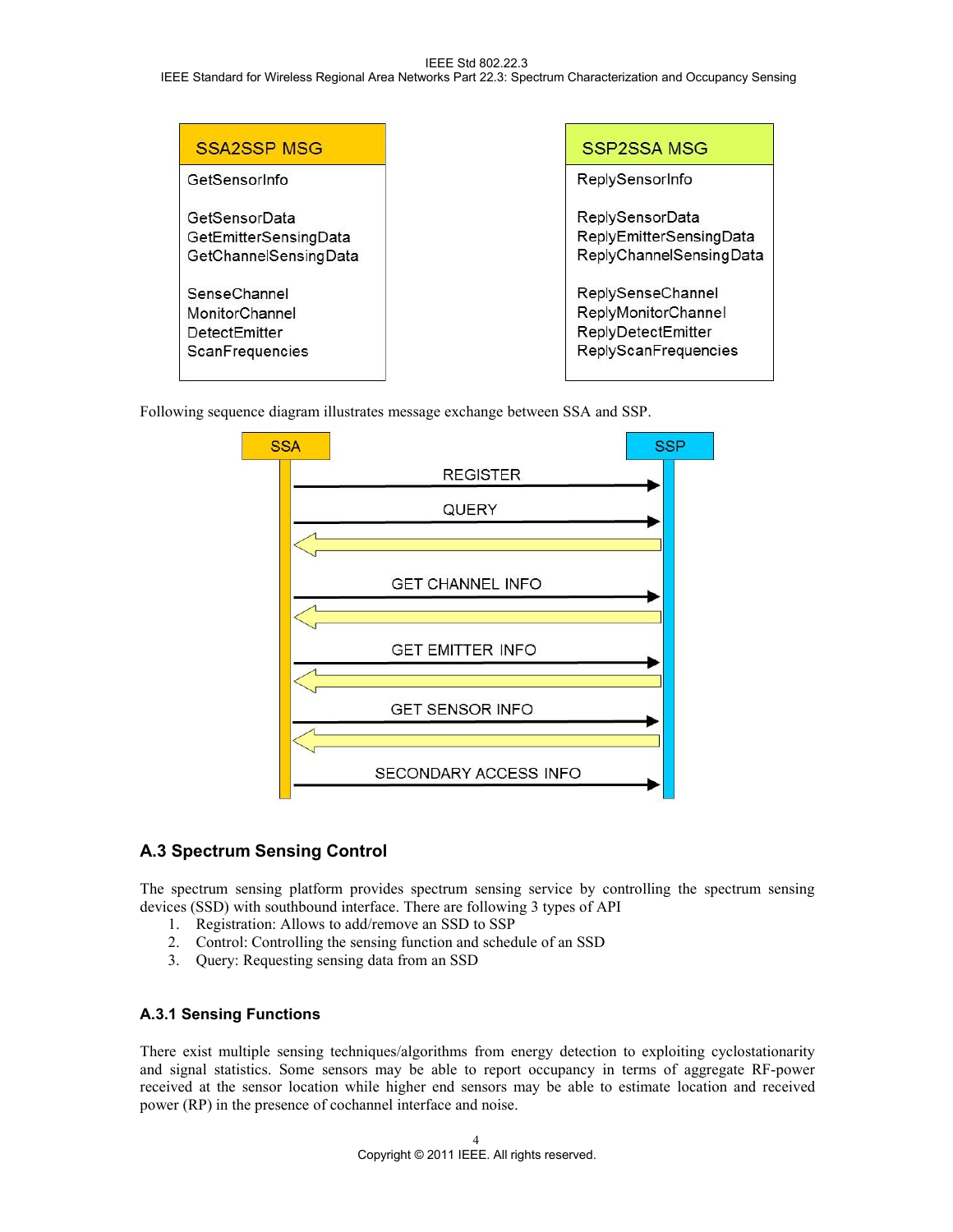#### IEEE Std 802.22.3 IEEE Standard for Wireless Regional Area Networks Part 22.3: Spectrum Characterization and Occupancy Sensing

| <b>SSA2SSP MSG</b>    | SSP2SSA MSG             |
|-----------------------|-------------------------|
| GetSensorInfo         | ReplySensorInfo         |
| GetSensorData         | ReplySensorData         |
| GetEmitterSensingData | ReplyEmitterSensingData |
| GetChannelSensingData | ReplyChannelSensingData |
| SenseChannel          | ReplySenseChannel       |
| MonitorChannel        | ReplyMonitorChannel     |
| <b>DetectEmitter</b>  | ReplyDetectEmitter      |
| ScanFrequencies       | ReplyScanFrequencies    |

Following sequence diagram illustrates message exchange between SSA and SSP.



### **A.3 Spectrum Sensing Control**

The spectrum sensing platform provides spectrum sensing service by controlling the spectrum sensing devices (SSD) with southbound interface. There are following 3 types of API

- 1. Registration: Allows to add/remove an SSD to SSP
- 2. Control: Controlling the sensing function and schedule of an SSD
- 3. Query: Requesting sensing data from an SSD

#### **A.3.1 Sensing Functions**

There exist multiple sensing techniques/algorithms from energy detection to exploiting cyclostationarity and signal statistics. Some sensors may be able to report occupancy in terms of aggregate RF-power received at the sensor location while higher end sensors may be able to estimate location and received power (RP) in the presence of cochannel interface and noise.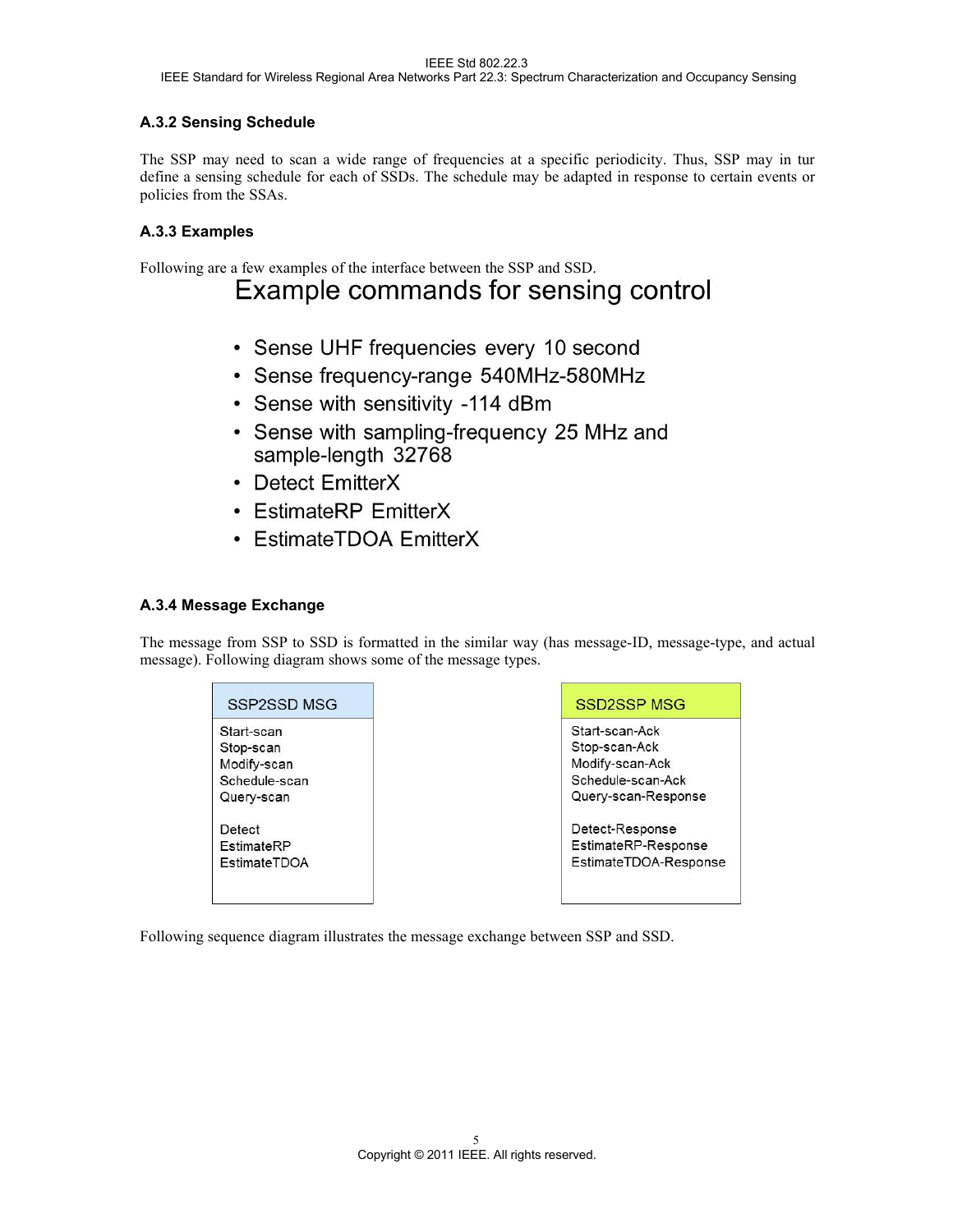#### **A.3.2 Sensing Schedule**

The SSP may need to scan a wide range of frequencies at a specific periodicity. Thus, SSP may in tur define a sensing schedule for each of SSDs. The schedule may be adapted in response to certain events or policies from the SSAs.

#### **A.3.3 Examples**

# Following are a few examples of the interface between the SSP and SSD.<br>**EXAMPLE COMMANDS for SENSING CONTICE**

- Sense UHF frequencies every 10 second
- · Sense frequency-range 540MHz-580MHz
- Sense with sensitivity -114 dBm
- Sense with sampling-frequency 25 MHz and sample-length 32768
- Detect EmitterX
- EstimateRP EmitterX
- EstimateTDOA EmitterX

#### **A.3.4 Message Exchange**

The message from SSP to SSD is formatted in the similar way (has message-ID, message-type, and actual message). Following diagram shows some of the message types.

| Start-scan          |  |
|---------------------|--|
| Stop-scan           |  |
| Modify-scan         |  |
| Schedule-scan       |  |
| Query-scan          |  |
| Detect              |  |
| EstimateRP          |  |
| <b>EstimateTDOA</b> |  |

#### **SSD2SSP MSG**

Start-scan-Ack Stop-scan-Ack Modify-scan-Ack Schedule-scan-Ack Query-scan-Response

Detect-Response EstimateRP-Response EstimateTDOA-Response

Following sequence diagram illustrates the message exchange between SSP and SSD.